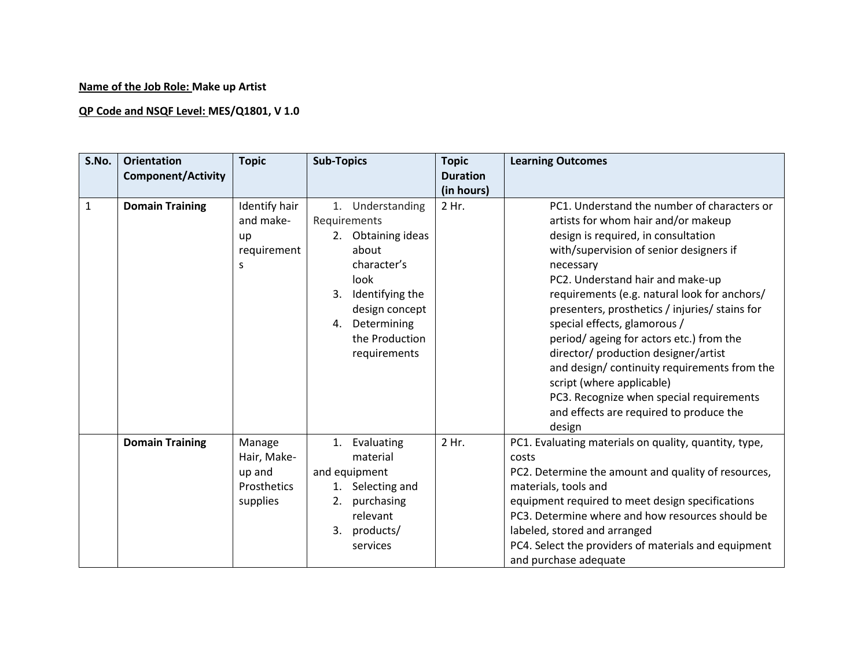## **Name of the Job Role: Make up Artist**

## **QP Code and NSQF Level: MES/Q1801, V 1.0**

| S.No.        | <b>Orientation</b>        | <b>Topic</b>  | <b>Sub-Topics</b>   | <b>Topic</b>    | <b>Learning Outcomes</b>                              |
|--------------|---------------------------|---------------|---------------------|-----------------|-------------------------------------------------------|
|              | <b>Component/Activity</b> |               |                     | <b>Duration</b> |                                                       |
|              |                           |               |                     | (in hours)      |                                                       |
| $\mathbf{1}$ | <b>Domain Training</b>    | Identify hair | 1. Understanding    | 2 Hr.           | PC1. Understand the number of characters or           |
|              |                           | and make-     | Requirements        |                 | artists for whom hair and/or makeup                   |
|              |                           | up            | 2. Obtaining ideas  |                 | design is required, in consultation                   |
|              |                           | requirement   | about               |                 | with/supervision of senior designers if               |
|              |                           | S             | character's         |                 | necessary                                             |
|              |                           |               | look                |                 | PC2. Understand hair and make-up                      |
|              |                           |               | 3. Identifying the  |                 | requirements (e.g. natural look for anchors/          |
|              |                           |               | design concept      |                 | presenters, prosthetics / injuries/ stains for        |
|              |                           |               | 4. Determining      |                 | special effects, glamorous /                          |
|              |                           |               | the Production      |                 | period/ageing for actors etc.) from the               |
|              |                           |               | requirements        |                 | director/ production designer/artist                  |
|              |                           |               |                     |                 | and design/continuity requirements from the           |
|              |                           |               |                     |                 | script (where applicable)                             |
|              |                           |               |                     |                 | PC3. Recognize when special requirements              |
|              |                           |               |                     |                 | and effects are required to produce the               |
|              |                           |               |                     |                 | design                                                |
|              | <b>Domain Training</b>    | Manage        | 1. Evaluating       | 2 Hr.           | PC1. Evaluating materials on quality, quantity, type, |
|              |                           | Hair, Make-   | material            |                 | costs                                                 |
|              |                           | up and        | and equipment       |                 | PC2. Determine the amount and quality of resources,   |
|              |                           | Prosthetics   | Selecting and<br>1. |                 | materials, tools and                                  |
|              |                           | supplies      | 2.<br>purchasing    |                 | equipment required to meet design specifications      |
|              |                           |               | relevant            |                 | PC3. Determine where and how resources should be      |
|              |                           |               | 3. products/        |                 | labeled, stored and arranged                          |
|              |                           |               | services            |                 | PC4. Select the providers of materials and equipment  |
|              |                           |               |                     |                 | and purchase adequate                                 |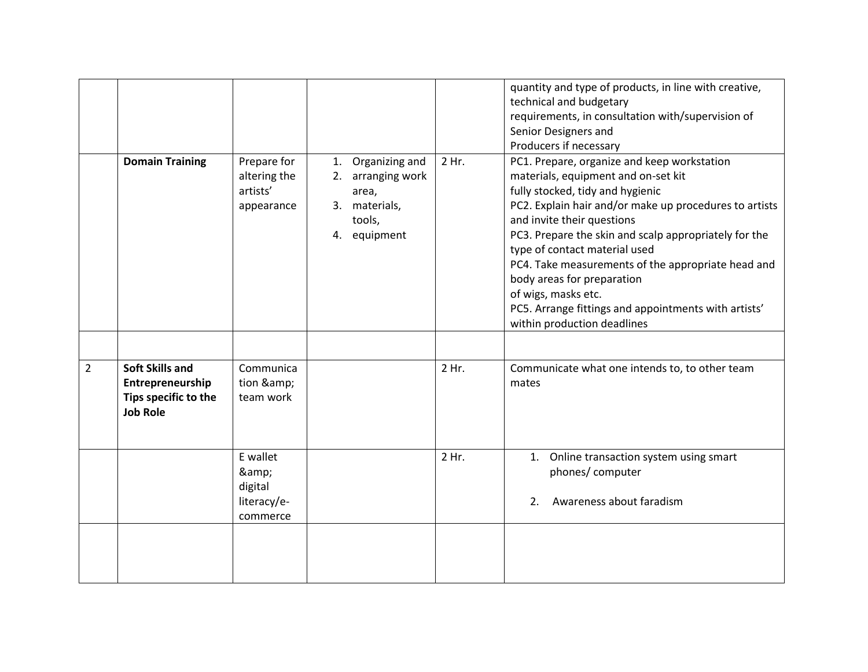|                                                                                                         |                                                       |                                                                                               |       | quantity and type of products, in line with creative,<br>technical and budgetary<br>requirements, in consultation with/supervision of<br>Senior Designers and<br>Producers if necessary                                                                                                                                                                                                                                                                                                                    |
|---------------------------------------------------------------------------------------------------------|-------------------------------------------------------|-----------------------------------------------------------------------------------------------|-------|------------------------------------------------------------------------------------------------------------------------------------------------------------------------------------------------------------------------------------------------------------------------------------------------------------------------------------------------------------------------------------------------------------------------------------------------------------------------------------------------------------|
| <b>Domain Training</b>                                                                                  | Prepare for<br>altering the<br>artists'<br>appearance | Organizing and<br>1.<br>2. arranging work<br>area,<br>3. materials,<br>tools,<br>4. equipment | 2 Hr. | PC1. Prepare, organize and keep workstation<br>materials, equipment and on-set kit<br>fully stocked, tidy and hygienic<br>PC2. Explain hair and/or make up procedures to artists<br>and invite their questions<br>PC3. Prepare the skin and scalp appropriately for the<br>type of contact material used<br>PC4. Take measurements of the appropriate head and<br>body areas for preparation<br>of wigs, masks etc.<br>PC5. Arrange fittings and appointments with artists'<br>within production deadlines |
| <b>Soft Skills and</b><br>$\overline{2}$<br>Entrepreneurship<br>Tips specific to the<br><b>Job Role</b> | Communica<br>tion &<br>team work                      |                                                                                               | 2 Hr. | Communicate what one intends to, to other team<br>mates                                                                                                                                                                                                                                                                                                                                                                                                                                                    |
|                                                                                                         | E wallet<br>&<br>digital<br>literacy/e-<br>commerce   |                                                                                               | 2 Hr. | Online transaction system using smart<br>1.<br>phones/computer<br>Awareness about faradism<br>2.                                                                                                                                                                                                                                                                                                                                                                                                           |